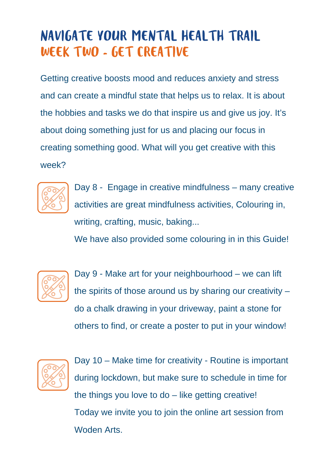## NAVIGATE YOUR MENTAL HEALTH TRAIL WEEK TWO - GET CREATIVE

Getting creative boosts mood and reduces anxiety and stress and can create a mindful state that helps us to relax. It is about the hobbies and tasks we do that inspire us and give us joy. It's about doing something just for us and placing our focus in creating something good. What will you get creative with this week?



Day 8 - Engage in creative mindfulness – many creative activities are great mindfulness activities, Colouring in, writing, crafting, music, baking...

We have also provided some colouring in in this Guide!



Day 9 - Make art for your neighbourhood – we can lift the spirits of those around us by sharing our creativity – do a chalk drawing in your driveway, paint a stone for others to find, or create a poster to put in your window!



Day 10 – Make time for creativity - Routine is important during lockdown, but make sure to schedule in time for the things you love to  $do$  – like getting creative! Today we invite you to join the online art session from Woden Arts.